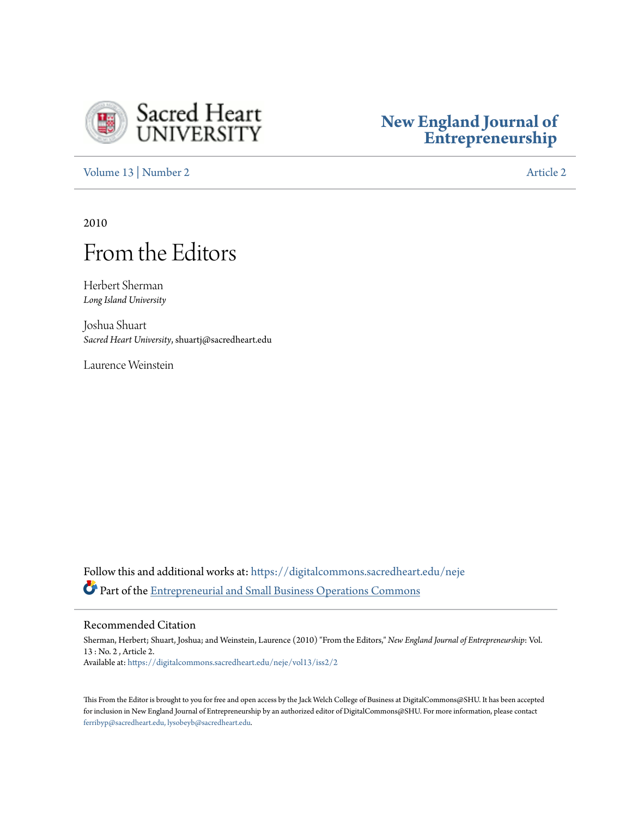

### **[New England Journal of](https://digitalcommons.sacredheart.edu/neje?utm_source=digitalcommons.sacredheart.edu%2Fneje%2Fvol13%2Fiss2%2F2&utm_medium=PDF&utm_campaign=PDFCoverPages) [Entrepreneurship](https://digitalcommons.sacredheart.edu/neje?utm_source=digitalcommons.sacredheart.edu%2Fneje%2Fvol13%2Fiss2%2F2&utm_medium=PDF&utm_campaign=PDFCoverPages)**

[Volume 13](https://digitalcommons.sacredheart.edu/neje/vol13?utm_source=digitalcommons.sacredheart.edu%2Fneje%2Fvol13%2Fiss2%2F2&utm_medium=PDF&utm_campaign=PDFCoverPages) | [Number 2](https://digitalcommons.sacredheart.edu/neje/vol13/iss2?utm_source=digitalcommons.sacredheart.edu%2Fneje%2Fvol13%2Fiss2%2F2&utm_medium=PDF&utm_campaign=PDFCoverPages) [Article 2](https://digitalcommons.sacredheart.edu/neje/vol13/iss2/2?utm_source=digitalcommons.sacredheart.edu%2Fneje%2Fvol13%2Fiss2%2F2&utm_medium=PDF&utm_campaign=PDFCoverPages)

2010

### From the Editors

Herbert Sherman *Long Island University*

Joshua Shuart *Sacred Heart University*, shuartj@sacredheart.edu

Laurence Weinstein

Follow this and additional works at: [https://digitalcommons.sacredheart.edu/neje](https://digitalcommons.sacredheart.edu/neje?utm_source=digitalcommons.sacredheart.edu%2Fneje%2Fvol13%2Fiss2%2F2&utm_medium=PDF&utm_campaign=PDFCoverPages) Part of the [Entrepreneurial and Small Business Operations Commons](http://network.bepress.com/hgg/discipline/630?utm_source=digitalcommons.sacredheart.edu%2Fneje%2Fvol13%2Fiss2%2F2&utm_medium=PDF&utm_campaign=PDFCoverPages)

#### Recommended Citation

Sherman, Herbert; Shuart, Joshua; and Weinstein, Laurence (2010) "From the Editors," *New England Journal of Entrepreneurship*: Vol. 13 : No. 2 , Article 2. Available at: [https://digitalcommons.sacredheart.edu/neje/vol13/iss2/2](https://digitalcommons.sacredheart.edu/neje/vol13/iss2/2?utm_source=digitalcommons.sacredheart.edu%2Fneje%2Fvol13%2Fiss2%2F2&utm_medium=PDF&utm_campaign=PDFCoverPages)

This From the Editor is brought to you for free and open access by the Jack Welch College of Business at DigitalCommons@SHU. It has been accepted for inclusion in New England Journal of Entrepreneurship by an authorized editor of DigitalCommons@SHU. For more information, please contact [ferribyp@sacredheart.edu, lysobeyb@sacredheart.edu.](mailto:ferribyp@sacredheart.edu,%20lysobeyb@sacredheart.edu)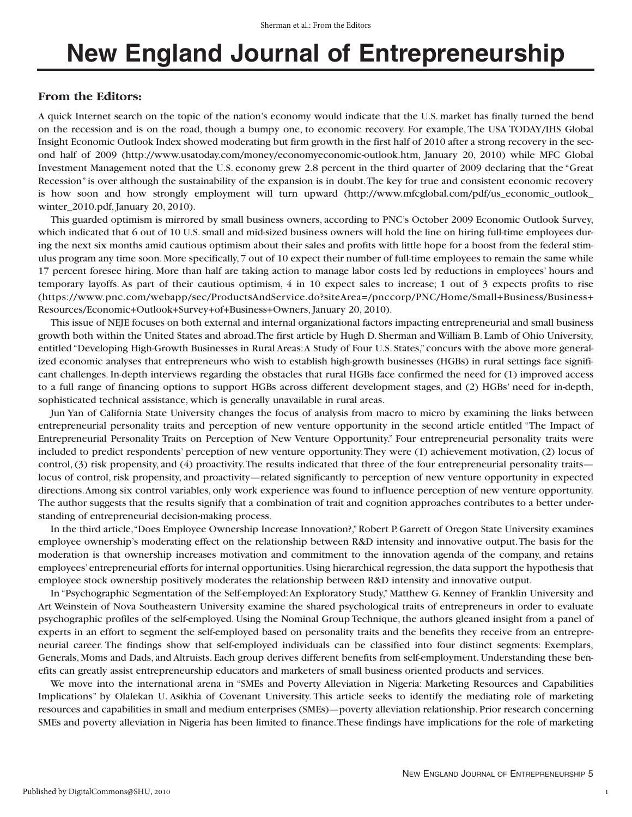## **New England Journal of Entrepreneurship**

#### **From the Editors:**

A quick Internet search on the topic of the nation's economy would indicate that the U.S. market has finally turned the bend on the recession and is on the road, though a bumpy one, to economic recovery. For example,The USA TODAY/IHS Global Insight Economic Outlook Index showed moderating but firm growth in the first half of 2010 after a strong recovery in the second half of 2009 (http://www.usatoday.com/money/economyeconomic-outlook.htm, January 20, 2010) while MFC Global Investment Management noted that the U.S. economy grew 2.8 percent in the third quarter of 2009 declaring that the "Great Recession" is over although the sustainability of the expansion is in doubt.The key for true and consistent economic recovery is how soon and how strongly employment will turn upward (http://www.mfcglobal.com/pdf/us\_economic\_outlook\_ winter 2010.pdf, January 20, 2010).

This guarded optimism is mirrored by small business owners, according to PNC's October 2009 Economic Outlook Survey, which indicated that 6 out of 10 U.S. small and mid-sized business owners will hold the line on hiring full-time employees during the next six months amid cautious optimism about their sales and profits with little hope for a boost from the federal stimulus program any time soon.More specifically,7 out of 10 expect their number of full-time employees to remain the same while 17 percent foresee hiring. More than half are taking action to manage labor costs led by reductions in employees' hours and temporary layoffs. As part of their cautious optimism, 4 in 10 expect sales to increase; 1 out of 3 expects profits to rise (https://www.pnc.com/webapp/sec/ProductsAndService.do?siteArea=/pnccorp/PNC/Home/Small+Business/Business+ Resources/Economic+Outlook+Survey+of+Business+Owners, January 20, 2010).

This issue of NEJE focuses on both external and internal organizational factors impacting entrepreneurial and small business growth both within the United States and abroad.The first article by Hugh D. Sherman and William B. Lamb of Ohio University, entitled "Developing High-Growth Businesses in Rural Areas:A Study of Four U.S. States," concurs with the above more generalized economic analyses that entrepreneurs who wish to establish high-growth businesses (HGBs) in rural settings face significant challenges. In-depth interviews regarding the obstacles that rural HGBs face confirmed the need for (1) improved access to a full range of financing options to support HGBs across different development stages, and (2) HGBs' need for in-depth, sophisticated technical assistance, which is generally unavailable in rural areas.

Jun Yan of California State University changes the focus of analysis from macro to micro by examining the links between entrepreneurial personality traits and perception of new venture opportunity in the second article entitled "The Impact of Entrepreneurial Personality Traits on Perception of New Venture Opportunity." Four entrepreneurial personality traits were included to predict respondents' perception of new venture opportunity.They were (1) achievement motivation, (2) locus of control, (3) risk propensity, and (4) proactivity. The results indicated that three of the four entrepreneurial personality traits locus of control, risk propensity, and proactivity—related significantly to perception of new venture opportunity in expected directions.Among six control variables, only work experience was found to influence perception of new venture opportunity. The author suggests that the results signify that a combination of trait and cognition approaches contributes to a better understanding of entrepreneurial decision-making process.

In the third article,"Does Employee Ownership Increase Innovation?," Robert P. Garrett of Oregon State University examines employee ownership's moderating effect on the relationship between R&D intensity and innovative output.The basis for the moderation is that ownership increases motivation and commitment to the innovation agenda of the company, and retains employees' entrepreneurial efforts for internal opportunities. Using hierarchical regression, the data support the hypothesis that employee stock ownership positively moderates the relationship between R&D intensity and innovative output.

In "Psychographic Segmentation of the Self-employed:An Exploratory Study," Matthew G. Kenney of Franklin University and Art Weinstein of Nova Southeastern University examine the shared psychological traits of entrepreneurs in order to evaluate psychographic profiles of the self-employed. Using the Nominal Group Technique, the authors gleaned insight from a panel of experts in an effort to segment the self-employed based on personality traits and the benefits they receive from an entrepreneurial career. The findings show that self-employed individuals can be classified into four distinct segments: Exemplars, Generals, Moms and Dads, and Altruists. Each group derives different benefits from self-employment. Understanding these benefits can greatly assist entrepreneurship educators and marketers of small business oriented products and services.

We move into the international arena in "SMEs and Poverty Alleviation in Nigeria: Marketing Resources and Capabilities Implications" by Olalekan U. Asikhia of Covenant University. This article seeks to identify the mediating role of marketing resources and capabilities in small and medium enterprises (SMEs)—poverty alleviation relationship. Prior research concerning SMEs and poverty alleviation in Nigeria has been limited to finance.These findings have implications for the role of marketing

1